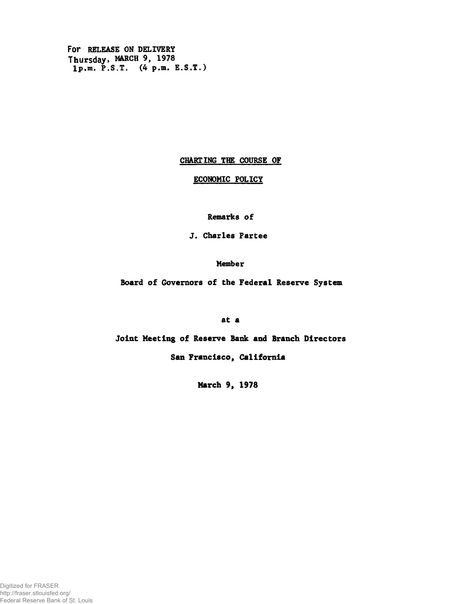For RELEASE ON DELIVERY Thursday, MARCH 9, 1978 lp.m. P.S.T. (4 p.m. E.S.T.)

## CHARTING THE COURSE OF

## ECONOMIC POLICY

Remarks of

J. Charles Partee

Member

Board of Governors of the Federal Reserve System

at a

Joint Meeting of Reserve Bank and Branch Directors

San Francisco, California

March 9, 1978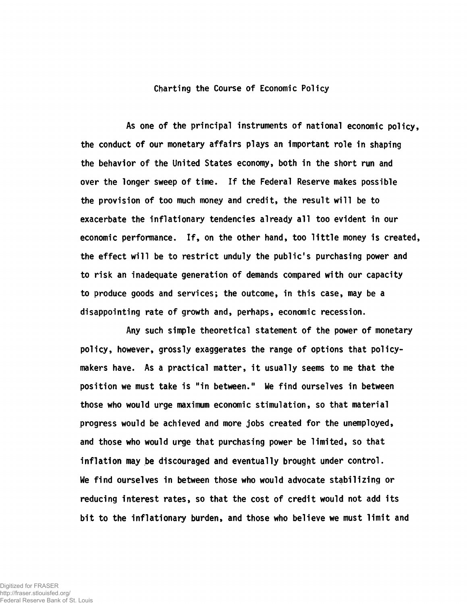Charting the Course of Economic Policy

As one of the principal instruments of national economic policy, the conduct of our monetary affairs plays an important role in shaping the behavior of the United States economy, both in the short run and over the longer sweep of time. If the Federal Reserve makes possible the provision of too much money and credit, the result will be to exacerbate the inflationary tendencies already all too evident in our economic performance. If, on the other hand, too little money is created the effect will be to restrict unduly the public's purchasing power and to risk an inadequate generation of demands compared with our capacity to produce goods and services; the outcome, in this case, may be a disappointing rate of growth and, perhaps, economic recession.

Any such simple theoretical statement of the power of monetary policy, however, grossly exaggerates the range of options that policymakers have. As a practical matter, it usually seems to me that the position we must take is "in between." We find ourselves in between those who would urge maximum economic stimulation, so that material progress would be achieved and more jobs created for the unemployed, and those who would urge that purchasing power be limited, so that inflation may be discouraged and eventually brought under control. We find ourselves in between those who would advocate stabilizing or reducing interest rates, so that the cost of credit would not add its bit to the inflationary burden, and those who believe we must limit and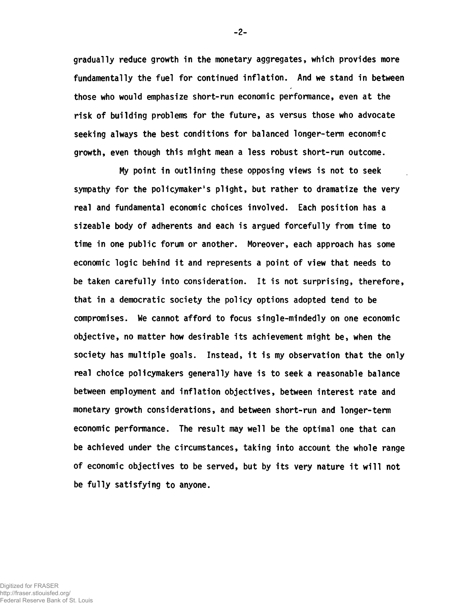gradually reduce growth in the monetary aggregates, which provides more fundamentally the fuel for continued inflation. And we stand in between those who would emphasize short-run economic performance, even at the risk of building problems for the future, as versus those who advocate seeking always the best conditions for balanced longer-term economic growth, even though this might mean a less robust short-run outcome.

My point in outlining these opposing views is not to seek sympathy for the policymaker's plight, but rather to dramatize the very real and fundamental economic choices involved. Each position has a sizeable body of adherents and each is argued forcefully from time to time in one public forum or another. Moreover, each approach has some economic logic behind it and represents a point of view that needs to be taken carefully into consideration. It is not surprising, therefore, that in a democratic society the policy options adopted tend to be compromises. We cannot afford to focus single-mindedly on one economic objective, no matter how desirable its achievement might be, when the society has multiple goals. Instead, it is my observation that the only real choice policymakers generally have is to seek a reasonable balance between employment and inflation objectives, between interest rate and monetary growth considerations, and between short-run and longer-term economic performance. The result may well be the optimal one that can be achieved under the circumstances, taking into account the whole range of economic objectives to be served, but by its very nature it will not be fully satisfying to anyone.

**-** 2**-**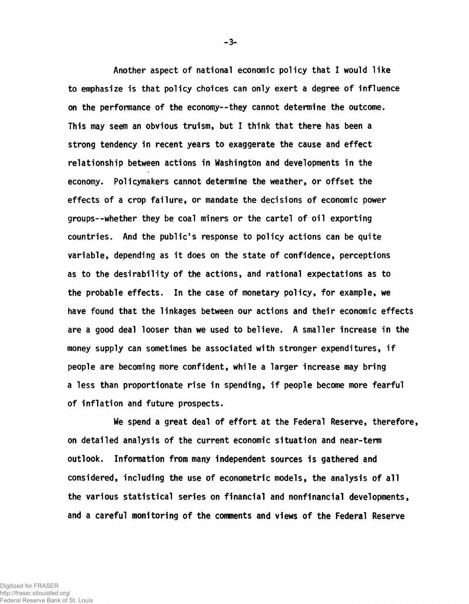Another aspect of national economic policy that I would like to emphasize is that policy choices can only exert a degree of influence on the performance of the economy— they cannot determine the outcome. This may seem an obvious truism, but I think that there has been a strong tendency in recent years to exaggerate the cause and effect relationship between actions in Washington and developments in the economy. Policymakers cannot determine the weather, or offset the effects of a crop failure, or mandate the decisions of economic power groups— whether they be coal miners or the cartel of oil exporting countries. And the public's response to policy actions can be quite variable, depending as it does on the state of confidence, perceptions as to the desirability of the actions, and rational expectations as to the probable effects. In the case of monetary policy, for example, we have found that the linkages between our actions and their economic effects are a good deal looser than we used to believe. A smaller increase in the money supply can sometimes be associated with stronger expenditures, if people are becoming more confident, while a larger increase may bring a less than proportionate rise in spending, if people become more fearful of inflation and future prospects.

We spend a great deal of effort at the Federal Reserve, therefore, on detailed analysis of the current economic situation and near-term outlook. Information from many independent sources is gathered and considered, including the use of econometric models, the analysis of all the various statistical series on financial and nonfinancial developments, and a careful monitoring of the comments and views of the Federal Reserve

-3-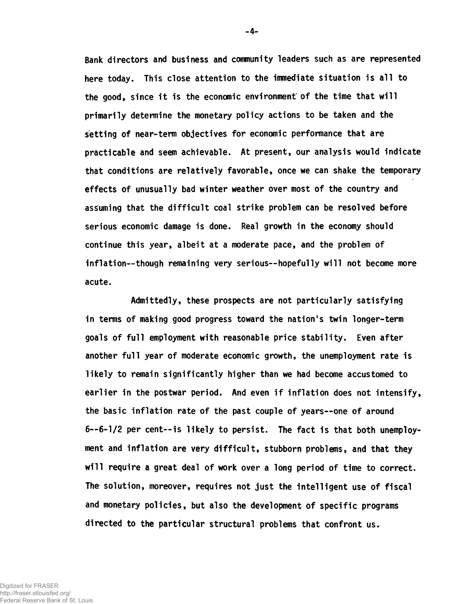Bank directors and business and community leaders such as are represented here today. This close attention to the immediate situation is all to the good, since it is the economic environment' of the time that will primarily determine the monetary policy actions to be taken and the setting of near-term objectives for economic performance that are practicable and seem achievable. At present, our analysis would Indicate that conditions are relatively favorable, once we can shake the temporary effects of unusually bad winter weather over most of the country and assuming that the difficult coal strike problem can be resolved before serious economic damage is done. Real growth in the economy should continue this year, albeit at a moderate pace, and the problem of inflation— though remaining very serious— hopefully will not become more acute.

Admittedly, these prospects are not particularly satisfying in terms of making good progress toward the nation's twin longer-term goals of full employment with reasonable price stability. Even after another full year of moderate economic growth, the unemployment rate is likely to remain significantly higher than we had become accustomed to earlier in the postwar period. And even if inflation does not intensify, the basic inflation rate of the past couple of years--one of around 6— 6-1/2 per cent— is likely to persist. The fact is that both unemployment and inflation are very difficult, stubborn problems, and that they will require a great deal of work over a long period of time to correct. The solution, moreover, requires not just the intelligent use of fiscal and monetary policies, but also the development of specific programs directed to the particular structural problems that confront us.

-4-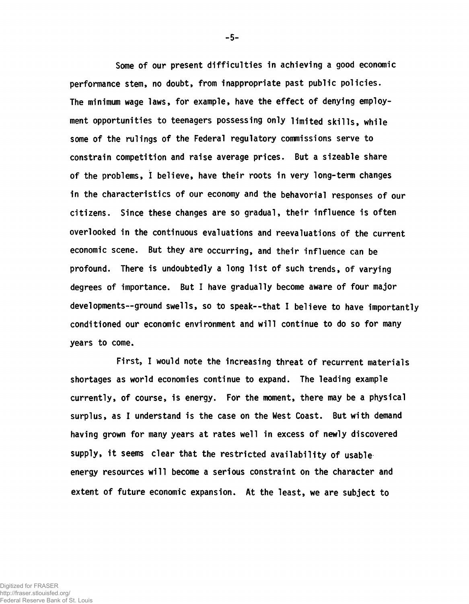Some of our present difficulties in achieving a good economic performance stem, no doubt, from inappropriate past public policies. The minimum wage laws, for example, have the effect of denying employment opportunities to teenagers possessing only limited skills, while some of the rulings of the Federal regulatory commissions serve to constrain competition and raise average prices. But a sizeable share of the problems, I believe, have their roots in very long-term changes in the characteristics of our economy and the behavorial responses of our citizens. Since these changes are so gradual, their influence is often overlooked in the continuous evaluations and reevaluations of the current economic scene. But they are occurring, and their influence can be profound. There is undoubtedly a long list of such trends, of varying degrees of importance. But I have gradually become aware of four major developments— ground swells, so to speak— that I believe to have importantly conditioned our economic environment and will continue to do so for many years to come.

First, I would note the increasing threat of recurrent materials shortages as world economies continue to expand. The leading example currently, of course, is energy. For the moment, there may be a physical surplus, as I understand is the case on the West Coast. But with demand having grown for many years at rates well in excess of newly discovered supply, it seems clear that the restricted availability of usable energy resources will become a serious constraint on the character and extent of future economic expansion. At the least, we are subject to

- 5-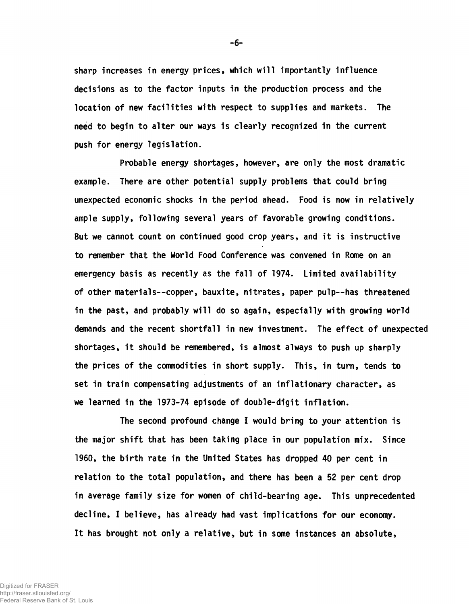sharp increases in energy prices, which will importantly influence decisions as to the factor inputs in the production process and the location of new facilities with respect to supplies and markets. The need to begin to alter our ways is clearly recognized in the current push for energy legislation.

Probable energy shortages, however, are only the most dramatic example. There are other potential supply problems that could bring unexpected economic shocks in the period ahead. Food is now in relatively ample supply, following several years of favorable growing conditions. But we cannot count on continued good crop years, and it is instructive to remember that the World Food Conference was convened in Rome on an emergency basis as recently as the fall of 1974. Limited availability of other materials--copper, bauxite, nitrates, paper pulp— has threatened in the past, and probably will do so again, especially with growing world demands and the recent shortfall in new investment. The effect of unexpected shortages, it should be remembered, is almost always to push up sharply the prices of the commodities in short supply. This, in turn, tends to set in train compensating adjustments of an inflationary character, as we learned in the 1973-74 episode of double-digit inflation.

The second profound change I would bring to your attention is the major shift that has been taking place in our population mix. Since 1960, the birth rate in the United States has dropped 40 per cent in relation to the total population, and there has been a 52 per cent drop in average family size for women of child-bearing age. This unprecedented decline, I believe, has already had vast implications for our economy. It has brought not only a relative, but in some instances an absolute,

-6-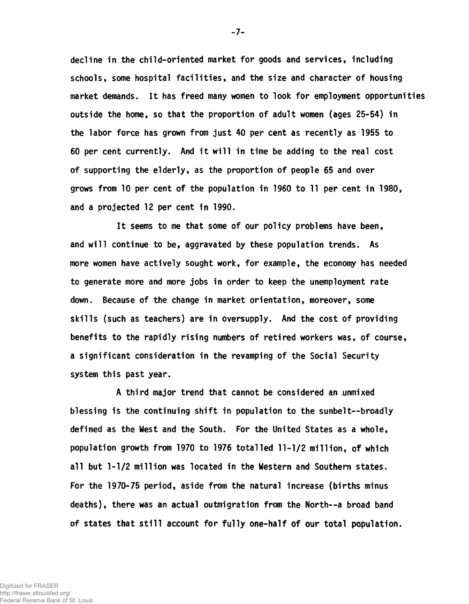decline in the child-oriented market for goods and services, including schools, some hospital facilities, and the size and character of housing market demands. It has freed many women to look for employment opportunities outside the home, so that the proportion of adult women (ages 25-54) in the labor force has grown from just 40 per cent as recently as 1955 to 60 per cent currently. And it will in time be adding to the real cost of supporting the elderly, as the proportion of people 65 and over grows from 10 per cent of the population in 1960 to 11 per cent in 1980, and a projected 12 per cent in 1990.

It seems to me that some of our policy problems have been, and will continue to be, aggravated by these population trends. As more women have actively sought work, for example, the economy has needed to generate more and more jobs in order to keep the unemployment rate down. Because of the change in market orientation, moreover, some skills (such as teachers) are in oversupply. And the cost of providing benefits to the rapidly rising numbers of retired workers was, of course, a significant consideration in the revamping of the Social Security system this past year.

A third major trend that cannot be considered an unmixed blessing is the continuing shift in population to the sunbelt--broadly defined as the West and the South. For the United States as a whole, population growth from 1970 to 1976 totalled 11-1/2 million, of which all but 1-1/2 million was located in the Western and Southern states. For the 1970-75 period, aside from the natural increase (births minus deaths), there was an actual outmigration from the North— a broad band of states that still account for fully one-half of our total population.

-7-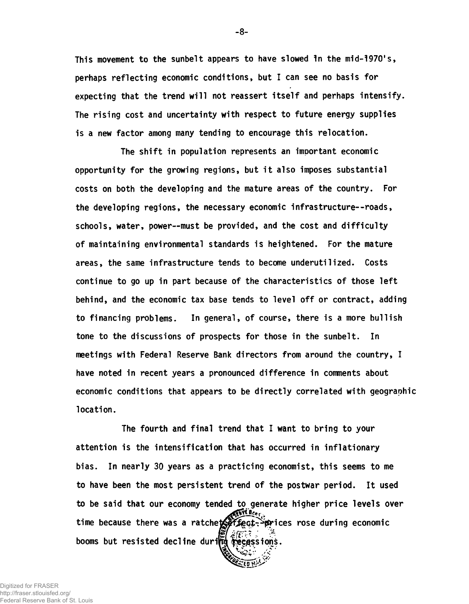This movement to the sunbelt appears to have slowed 1n the mid-1970's, perhaps reflecting economic conditions, but I can see no basis for expecting that the trend will not reassert itself and perhaps intensify. The rising cost and uncertainty with respect to future energy supplies is a new factor among many tending to encourage this relocation.

The shift in population represents an important economic opportunity for the growing regions, but it also imposes substantial costs on both the developing and the mature areas of the country. For the developing regions, the necessary economic infrastructure— roads, schools, water, power--must be provided, and the cost and difficulty of maintaining environmental standards is heightened. For the mature areas, the same infrastructure tends to become underutilized. Costs continue to go up in part because of the characteristics of those left behind, and the economic tax base tends to level off or contract, adding to financing problems. In general, of course, there is a more bullish tone to the discussions of prospects for those in the sunbelt. In meetings with Federal Reserve Bank directors from around the country, I have noted in recent years a pronounced difference in comments about economic conditions that appears to be directly correlated with geographic location.

The fourth and final trend that I want to bring to your attention is the intensification that has occurred in inflationary bias. In nearly 30 years as a practicing economist, this seems to me to have been the most persistent trend of the postwar period. It used to be said that our economy tended to generate higher price levels over time because there was a ratcheter fect->prices rose during economic booms but resisted decline during recessions.

**-** 8**-**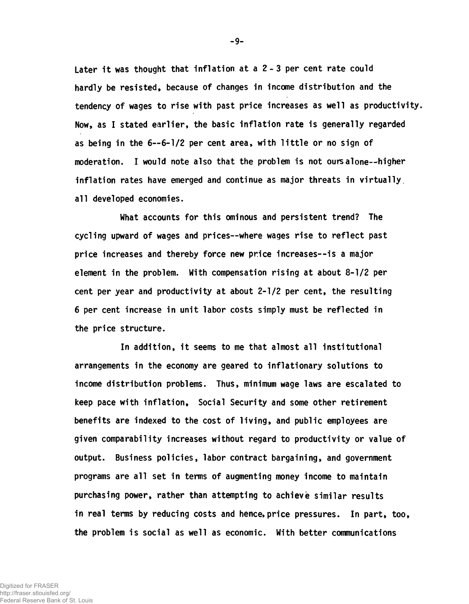Later it was thought that inflation at a  $2 - 3$  per cent rate could hardly be resisted, because of changes in income distribution and the tendency of wages to rise with past price increases as well as productivity. Now, as I stated earlier, the basic inflation rate is generally regarded as being in the 6— 6-1/2 per cent area, with little or no sign of moderation. I would note also that the problem is not ours alone--higher inflation rates have emerged and continue as major threats in virtually all developed economies.

What accounts for this ominous and persistent trend? The cycling upward of wages and prices— where wages rise to reflect past price increases and thereby force new price increases— is a major element in the problem. With compensation rising at about 8-1/2 per cent per year and productivity at about 2-1/2 per cent, the resulting 6 per cent increase in unit labor costs simply must be reflected in the price structure.

In addition, it seems to me that almost all institutional arrangements in the economy are geared to inflationary solutions to income distribution problems. Thus, minimum wage laws are escalated to keep pace with inflation, Social Security and some other retirement benefits are indexed to the cost of living, and public employees are given comparability increases without regard to productivity or value of output. Business policies, labor contract bargaining, and government programs are all set in terms of augmenting money income to maintain purchasing power, rather than attempting to achieve similar results in real terms by reducing costs and hence, price pressures. In part, too, the problem is social as well as economic. With better communications

-9-